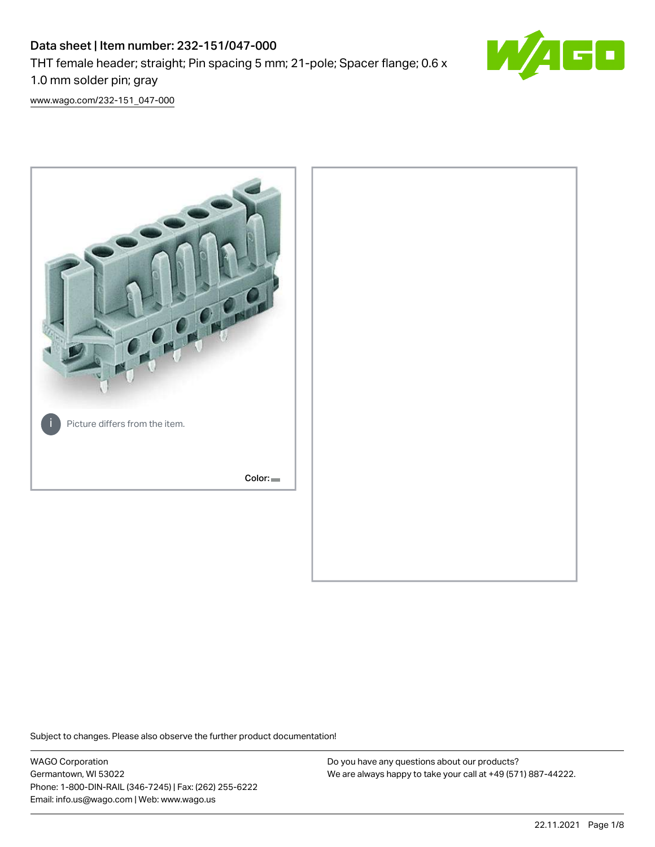# Data sheet | Item number: 232-151/047-000 THT female header; straight; Pin spacing 5 mm; 21-pole; Spacer flange; 0.6 x 1.0 mm solder pin; gray



[www.wago.com/232-151\\_047-000](http://www.wago.com/232-151_047-000)



Subject to changes. Please also observe the further product documentation!

WAGO Corporation Germantown, WI 53022 Phone: 1-800-DIN-RAIL (346-7245) | Fax: (262) 255-6222 Email: info.us@wago.com | Web: www.wago.us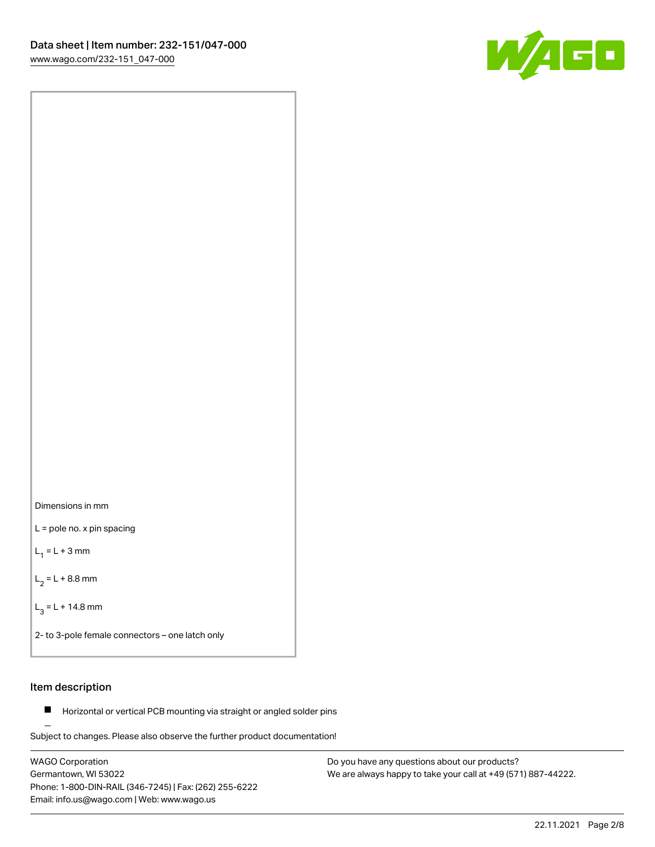



L = pole no. x pin spacing

 $L_1 = L + 3$  mm

 $L_2 = L + 8.8$  mm

 $L_3 = L + 14.8$  mm

2- to 3-pole female connectors – one latch only

# Item description

**Horizontal or vertical PCB mounting via straight or angled solder pins** 

Subject to changes. Please also observe the further product documentation! For board-to-board and board-to-wire connections

WAGO Corporation Germantown, WI 53022 Phone: 1-800-DIN-RAIL (346-7245) | Fax: (262) 255-6222 Email: info.us@wago.com | Web: www.wago.us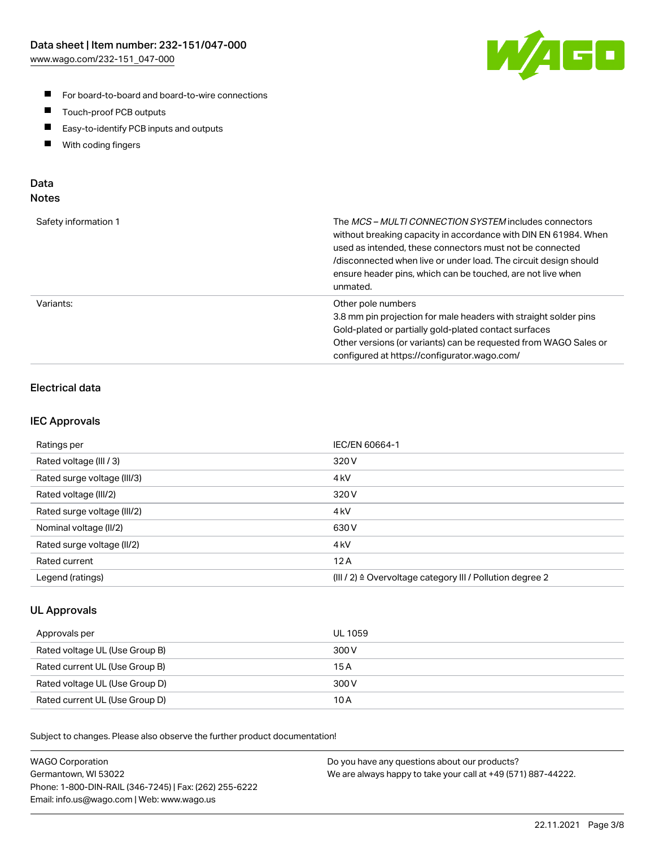

- For board-to-board and board-to-wire connections
- $\blacksquare$ Touch-proof PCB outputs
- $\blacksquare$ Easy-to-identify PCB inputs and outputs
- $\blacksquare$ With coding fingers

# Data **Notes**

| Safety information 1 | The <i>MCS – MULTI CONNECTION SYSTEM</i> includes connectors<br>without breaking capacity in accordance with DIN EN 61984. When<br>used as intended, these connectors must not be connected<br>/disconnected when live or under load. The circuit design should<br>ensure header pins, which can be touched, are not live when<br>unmated. |
|----------------------|--------------------------------------------------------------------------------------------------------------------------------------------------------------------------------------------------------------------------------------------------------------------------------------------------------------------------------------------|
| Variants:            | Other pole numbers<br>3.8 mm pin projection for male headers with straight solder pins<br>Gold-plated or partially gold-plated contact surfaces<br>Other versions (or variants) can be requested from WAGO Sales or<br>configured at https://configurator.wago.com/                                                                        |

# Electrical data

# IEC Approvals

| Ratings per                 | IEC/EN 60664-1                                                        |
|-----------------------------|-----------------------------------------------------------------------|
| Rated voltage (III / 3)     | 320 V                                                                 |
| Rated surge voltage (III/3) | 4 <sub>k</sub> V                                                      |
| Rated voltage (III/2)       | 320 V                                                                 |
| Rated surge voltage (III/2) | 4 <sub>k</sub> V                                                      |
| Nominal voltage (II/2)      | 630 V                                                                 |
| Rated surge voltage (II/2)  | 4 <sub>kV</sub>                                                       |
| Rated current               | 12A                                                                   |
| Legend (ratings)            | $(III / 2)$ $\triangle$ Overvoltage category III / Pollution degree 2 |

# UL Approvals

| Approvals per                  | UL 1059 |
|--------------------------------|---------|
| Rated voltage UL (Use Group B) | 300 V   |
| Rated current UL (Use Group B) | 15 A    |
| Rated voltage UL (Use Group D) | 300 V   |
| Rated current UL (Use Group D) | 10 A    |

Subject to changes. Please also observe the further product documentation!

| <b>WAGO Corporation</b>                                | Do you have any questions about our products?                 |
|--------------------------------------------------------|---------------------------------------------------------------|
| Germantown, WI 53022                                   | We are always happy to take your call at +49 (571) 887-44222. |
| Phone: 1-800-DIN-RAIL (346-7245)   Fax: (262) 255-6222 |                                                               |
| Email: info.us@wago.com   Web: www.wago.us             |                                                               |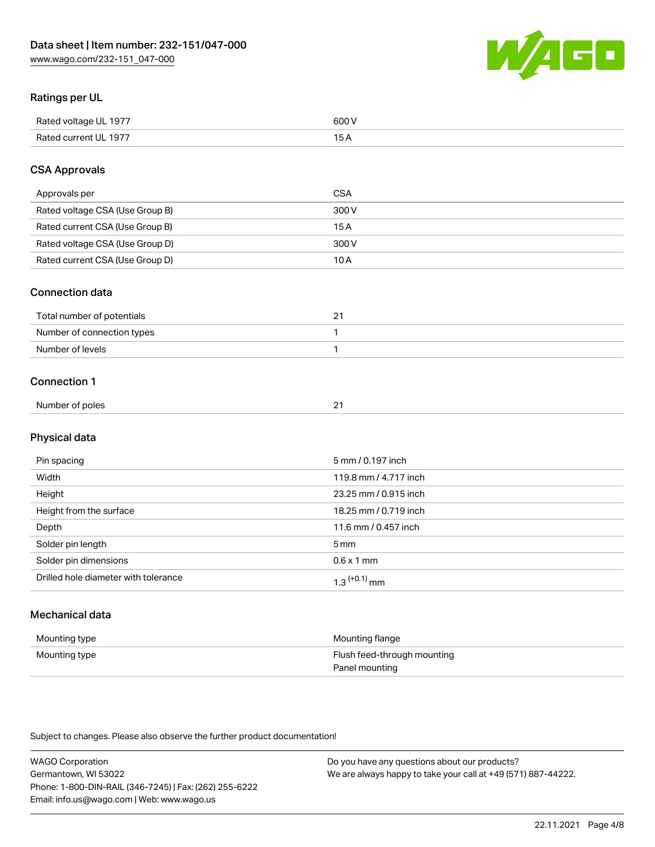

# Ratings per UL

| Rated voltage UL 1977 | 600   |
|-----------------------|-------|
| Rated current UL 1977 | . O F |

# CSA Approvals

| Approvals per                   | CSA   |
|---------------------------------|-------|
| Rated voltage CSA (Use Group B) | 300 V |
| Rated current CSA (Use Group B) | 15 A  |
| Rated voltage CSA (Use Group D) | 300 V |
| Rated current CSA (Use Group D) | 10 A  |

### Connection data

| Total number of potentials |  |
|----------------------------|--|
| Number of connection types |  |
| Number of levels           |  |

### Connection 1

| Number of poles | $\sim$ |  |
|-----------------|--------|--|

# Physical data

| Pin spacing                          | 5 mm / 0.197 inch     |
|--------------------------------------|-----------------------|
| Width                                | 119.8 mm / 4.717 inch |
| Height                               | 23.25 mm / 0.915 inch |
| Height from the surface              | 18.25 mm / 0.719 inch |
| Depth                                | 11.6 mm / 0.457 inch  |
| Solder pin length                    | 5 mm                  |
| Solder pin dimensions                | $0.6 \times 1$ mm     |
| Drilled hole diameter with tolerance | $1.3$ $(+0.1)$ mm     |

# Mechanical data

| Mounting type | Mounting flange             |
|---------------|-----------------------------|
| Mounting type | Flush feed-through mounting |
|               | Panel mounting              |

Subject to changes. Please also observe the further product documentation!

| <b>WAGO Corporation</b>                                | Do you have any questions about our products?                 |
|--------------------------------------------------------|---------------------------------------------------------------|
| Germantown, WI 53022                                   | We are always happy to take your call at +49 (571) 887-44222. |
| Phone: 1-800-DIN-RAIL (346-7245)   Fax: (262) 255-6222 |                                                               |
| Email: info.us@wago.com   Web: www.wago.us             |                                                               |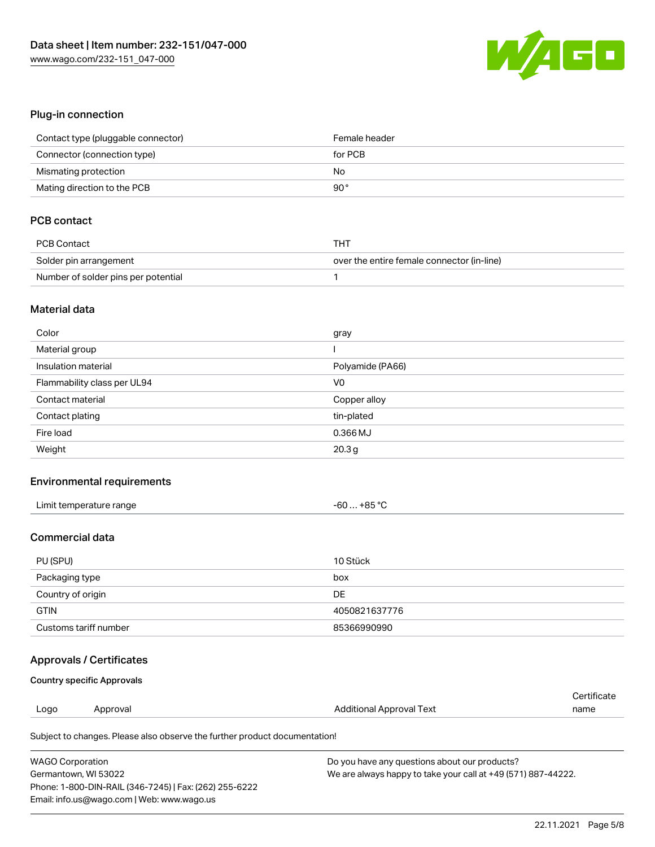

# Plug-in connection

| Contact type (pluggable connector) | Female header |
|------------------------------------|---------------|
| Connector (connection type)        | for PCB       |
| Mismating protection               | No            |
| Mating direction to the PCB        | 90°           |

# PCB contact

| PCB Contact                         | THT                                        |  |
|-------------------------------------|--------------------------------------------|--|
| Solder pin arrangement              | over the entire female connector (in-line) |  |
| Number of solder pins per potential |                                            |  |

#### Material data

| Color                       | gray              |
|-----------------------------|-------------------|
| Material group              |                   |
| Insulation material         | Polyamide (PA66)  |
| Flammability class per UL94 | V <sub>0</sub>    |
| Contact material            | Copper alloy      |
| Contact plating             | tin-plated        |
| Fire load                   | $0.366$ MJ        |
| Weight                      | 20.3 <sub>g</sub> |

# Environmental requirements

| Limit temperature range | $-60+85 °C$ |
|-------------------------|-------------|
|-------------------------|-------------|

### Commercial data

| PU (SPU)              | 10 Stück      |
|-----------------------|---------------|
| Packaging type        | box           |
| Country of origin     | DE            |
| <b>GTIN</b>           | 4050821637776 |
| Customs tariff number | 85366990990   |

# Approvals / Certificates

#### Country specific Approvals

|      |          |                          | ∩ertificate |
|------|----------|--------------------------|-------------|
| Logo | Approval | Additional Approval Text | name        |
|      |          |                          |             |

Subject to changes. Please also observe the further product documentation!

| <b>WAGO Corporation</b>                                | Do you have any questions about our products?                 |
|--------------------------------------------------------|---------------------------------------------------------------|
| Germantown, WI 53022                                   | We are always happy to take your call at +49 (571) 887-44222. |
| Phone: 1-800-DIN-RAIL (346-7245)   Fax: (262) 255-6222 |                                                               |
| Email: info.us@wago.com   Web: www.wago.us             |                                                               |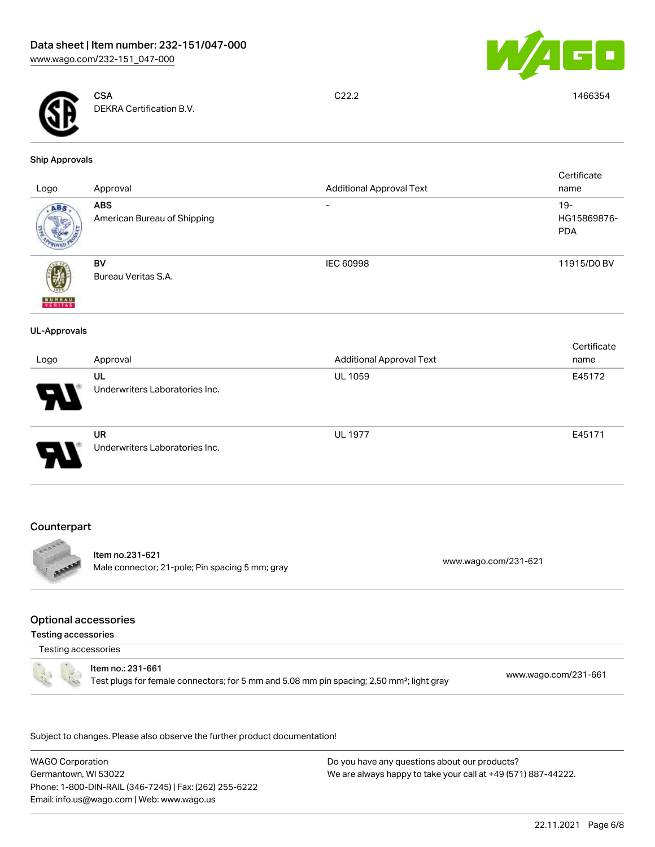



**CSA** DEKRA Certification B.V.

C22.2 1466354

#### Ship Approvals

| Logo                     | Approval                                  | <b>Additional Approval Text</b> | Certificate<br>name                 |
|--------------------------|-------------------------------------------|---------------------------------|-------------------------------------|
| ABS.                     | <b>ABS</b><br>American Bureau of Shipping | $\overline{\phantom{a}}$        | $19 -$<br>HG15869876-<br><b>PDA</b> |
| <b>BUREAU</b><br>VERITAS | BV<br>Bureau Veritas S.A.                 | IEC 60998                       | 11915/D0 BV                         |
| <b>UL-Approvals</b>      |                                           |                                 |                                     |
| Logo                     | Approval                                  | <b>Additional Approval Text</b> | Certificate<br>name                 |
|                          | UL<br>Underwriters Laboratories Inc.      | UL 1059                         | E45172                              |
|                          | UR<br>Underwriters Laboratories Inc.      | <b>UL 1977</b>                  | E45171                              |

# **Counterpart**



Item no.231-621 Male connector; 21-pole; Pin spacing 5 mm; gray [www.wago.com/231-621](https://www.wago.com/231-621) www.wago.com/231-621

### Optional accessories

Testing accessories

Testing accessories



Item no.: 231-661 Test plugs for female connectors; for 5 mm and 5.08 mm pin spacing; 2,50 mm²; light gray [www.wago.com/231-661](http://www.wago.com/231-661)

.<br>Subject to changes. Please also observe the further product documentation!

WAGO Corporation Germantown, WI 53022 Phone: 1-800-DIN-RAIL (346-7245) | Fax: (262) 255-6222 Email: info.us@wago.com | Web: www.wago.us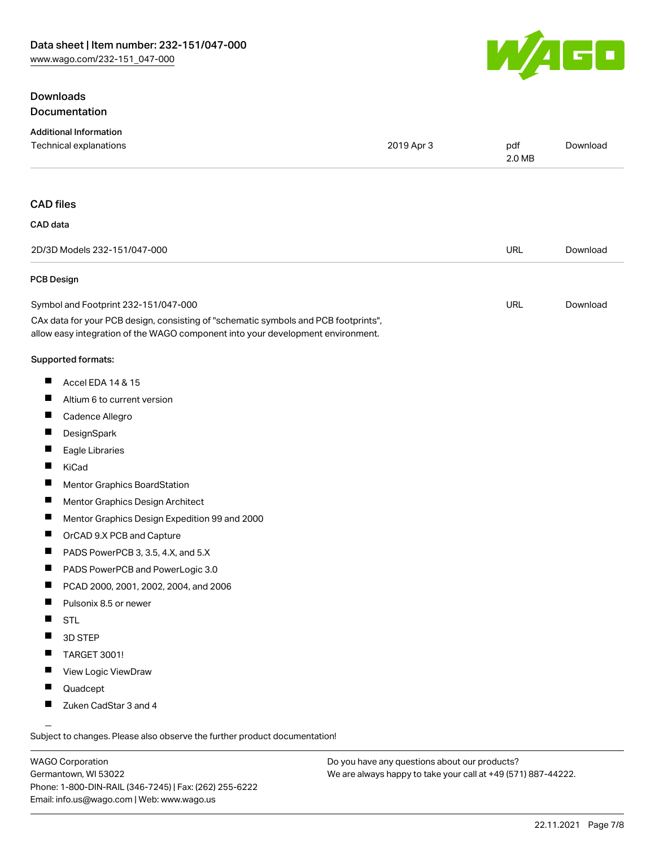# **Downloads** Documentation



| <b>Additional Information</b><br>Technical explanations                                                                                                                | 2019 Apr 3 | pdf<br>2.0 MB | Download |
|------------------------------------------------------------------------------------------------------------------------------------------------------------------------|------------|---------------|----------|
| <b>CAD files</b>                                                                                                                                                       |            |               |          |
| CAD data                                                                                                                                                               |            |               |          |
| 2D/3D Models 232-151/047-000                                                                                                                                           |            | URL           | Download |
| PCB Design                                                                                                                                                             |            |               |          |
| Symbol and Footprint 232-151/047-000                                                                                                                                   |            | URL           | Download |
| CAx data for your PCB design, consisting of "schematic symbols and PCB footprints",<br>allow easy integration of the WAGO component into your development environment. |            |               |          |
| Supported formats:                                                                                                                                                     |            |               |          |
| Ш<br>Accel EDA 14 & 15                                                                                                                                                 |            |               |          |
| ш<br>Altium 6 to current version                                                                                                                                       |            |               |          |
| Cadence Allegro                                                                                                                                                        |            |               |          |
| п<br>DesignSpark                                                                                                                                                       |            |               |          |
| Eagle Libraries                                                                                                                                                        |            |               |          |
| KiCad                                                                                                                                                                  |            |               |          |
| ш<br>Mentor Graphics BoardStation                                                                                                                                      |            |               |          |
| Mentor Graphics Design Architect                                                                                                                                       |            |               |          |
| Mentor Graphics Design Expedition 99 and 2000                                                                                                                          |            |               |          |
| ш<br>OrCAD 9.X PCB and Capture                                                                                                                                         |            |               |          |
| ш<br>PADS PowerPCB 3, 3.5, 4.X, and 5.X                                                                                                                                |            |               |          |
| PADS PowerPCB and PowerLogic 3.0                                                                                                                                       |            |               |          |
| PCAD 2000, 2001, 2002, 2004, and 2006<br>ш                                                                                                                             |            |               |          |
| Pulsonix 8.5 or newer                                                                                                                                                  |            |               |          |
| <b>STL</b>                                                                                                                                                             |            |               |          |
| 3D STEP                                                                                                                                                                |            |               |          |
| TARGET 3001!                                                                                                                                                           |            |               |          |
| View Logic ViewDraw                                                                                                                                                    |            |               |          |
| Quadcept                                                                                                                                                               |            |               |          |
| Zuken CadStar 3 and 4                                                                                                                                                  |            |               |          |

WAGO Corporation Germantown, WI 53022 Phone: 1-800-DIN-RAIL (346-7245) | Fax: (262) 255-6222 Email: info.us@wago.com | Web: www.wago.us